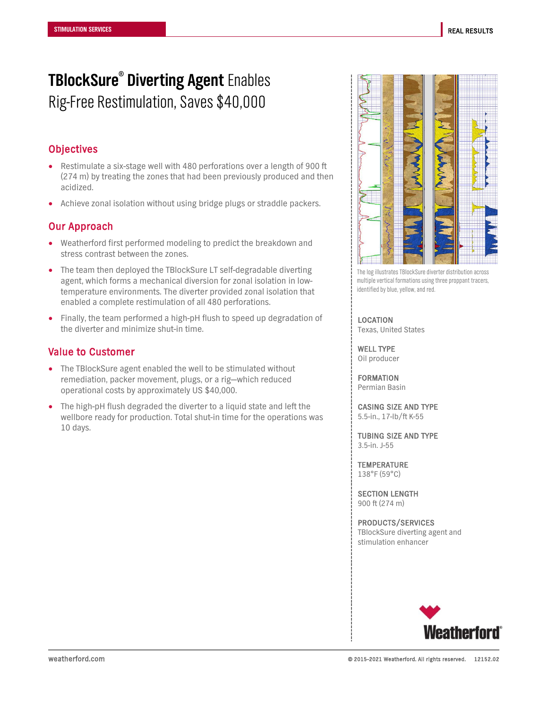## **TBlockSure® Diverting Agent** Enables Rig-Free Restimulation, Saves \$40,000

### **Objectives**

- Restimulate a six-stage well with 480 perforations over a length of 900 ft (274 m) by treating the zones that had been previously produced and then acidized.
- Achieve zonal isolation without using bridge plugs or straddle packers.

#### Our Approach

- Weatherford first performed modeling to predict the breakdown and stress contrast between the zones.
- The team then deployed the TBlockSure LT self-degradable diverting agent, which forms a mechanical diversion for zonal isolation in lowtemperature environments. The diverter provided zonal isolation that enabled a complete restimulation of all 480 perforations.
- Finally, the team performed a high-pH flush to speed up degradation of the diverter and minimize shut-in time.

#### Value to Customer

- The TBlockSure agent enabled the well to be stimulated without remediation, packer movement, plugs, or a rig—which reduced operational costs by approximately US \$40,000.
- The high-pH flush degraded the diverter to a liquid state and left the wellbore ready for production. Total shut-in time for the operations was 10 days.



The log illustrates TBlockSure diverter distribution across multiple vertical formations using three proppant tracers, identified by blue, yellow, and red.

LOCATION Texas, United States

WELL TYPE Oil producer

FORMATION Permian Basin

CASING SIZE AND TYPE 5.5-in., 17-lb/ft K-55

TUBING SIZE AND TYPE 3.5-in. J-55

**TEMPERATURE** 138°F (59°C)

SECTION LENGTH 900 ft (274 m)

PRODUCTS/SERVICES TBlockSure diverting agent and stimulation enhancer